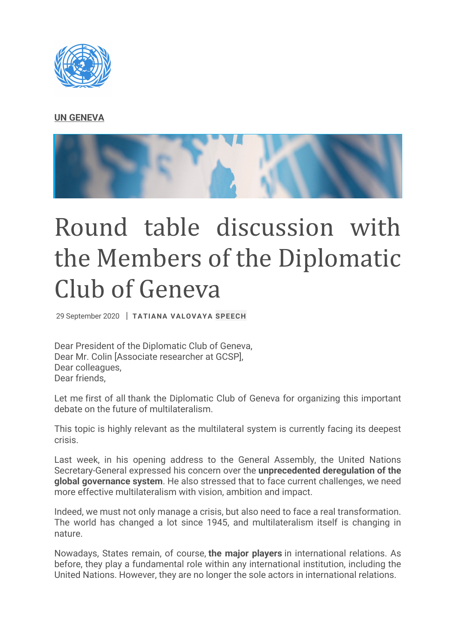## **[UN GENEVA](https://www.ungeneva.org/en/director-general/tatiana-valovaya/activities/2020/09/round-table-discussion-members-diplomatic-club)**



## Round table discussion with the Members of the Diplomatic Club of Geneva

29 September 2020 | **TATIANA VALOVAYA SPEECH**

Dear President of the Diplomatic Club of Geneva, Dear Mr. Colin [Associate researcher at GCSP], Dear colleagues, Dear friends,

Let me first of all thank the Diplomatic Club of Geneva for organizing this important debate on the future of multilateralism.

This topic is highly relevant as the multilateral system is currently facing its deepest crisis.

Last week, in his opening address to the General Assembly, the United Nations Secretary-General expressed his concern over the **unprecedented deregulation of the global governance system**. He also stressed that to face current challenges, we need more effective multilateralism with vision, ambition and impact.

Indeed, we must not only manage a crisis, but also need to face a real transformation. The world has changed a lot since 1945, and multilateralism itself is changing in nature.

Nowadays, States remain, of course, **the major players** in international relations. As before, they play a fundamental role within any international institution, including the United Nations. However, they are no longer the sole actors in international relations.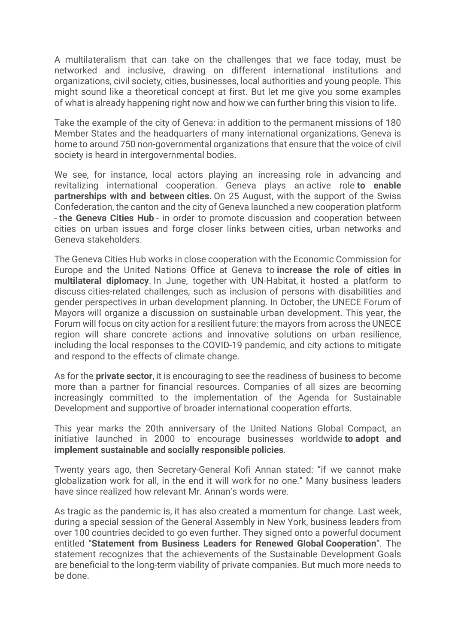A multilateralism that can take on the challenges that we face today, must be networked and inclusive, drawing on different international institutions and organizations, civil society, cities, businesses, local authorities and young people. This might sound like a theoretical concept at first. But let me give you some examples of what is already happening right now and how we can further bring this vision to life.

Take the example of the city of Geneva: in addition to the permanent missions of 180 Member States and the headquarters of many international organizations, Geneva is home to around 750 non-governmental organizations that ensure that the voice of civil society is heard in intergovernmental bodies.

We see, for instance, local actors playing an increasing role in advancing and revitalizing international cooperation. Geneva plays an active role **to enable partnerships with and between cities**. On 25 August, with the support of the Swiss Confederation, the canton and the city of Geneva launched a new cooperation platform - **the Geneva Cities Hub** - in order to promote discussion and cooperation between cities on urban issues and forge closer links between cities, urban networks and Geneva stakeholders.

The Geneva Cities Hub works in close cooperation with the Economic Commission for Europe and the United Nations Office at Geneva to **increase the role of cities in multilateral diplomacy**. In June, together with UN-Habitat, it hosted a platform to discuss cities-related challenges, such as inclusion of persons with disabilities and gender perspectives in urban development planning. In October, the UNECE Forum of Mayors will organize a discussion on sustainable urban development. This year, the Forum will focus on city action for a resilient future: the mayors from across the UNECE region will share concrete actions and innovative solutions on urban resilience, including the local responses to the COVID-19 pandemic, and city actions to mitigate and respond to the effects of climate change.

As for the **private sector**, it is encouraging to see the readiness of business to become more than a partner for financial resources. Companies of all sizes are becoming increasingly committed to the implementation of the Agenda for Sustainable Development and supportive of broader international cooperation efforts.

This year marks the 20th anniversary of the United Nations Global Compact, an initiative launched in 2000 to encourage businesses worldwide **to adopt and implement sustainable and socially responsible policies**.

Twenty years ago, then Secretary-General Kofi Annan stated: "if we cannot make globalization work for all, in the end it will work for no one." Many business leaders have since realized how relevant Mr. Annan's words were.

As tragic as the pandemic is, it has also created a momentum for change. Last week, during a special session of the General Assembly in New York, business leaders from over 100 countries decided to go even further. They signed onto a powerful document entitled "**Statement from Business Leaders for Renewed Global Cooperation**". The statement recognizes that the achievements of the Sustainable Development Goals are beneficial to the long-term viability of private companies. But much more needs to be done.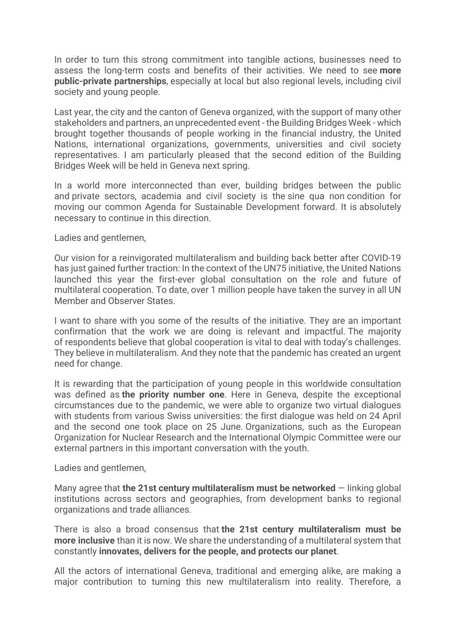In order to turn this strong commitment into tangible actions, businesses need to assess the long-term costs and benefits of their activities. We need to see **more public-private partnerships**, especially at local but also regional levels, including civil society and young people.

Last year, the city and the canton of Geneva organized, with the support of many other stakeholders and partners, an unprecedented event - the Building Bridges Week - which brought together thousands of people working in the financial industry, the United Nations, international organizations, governments, universities and civil society representatives. I am particularly pleased that the second edition of the Building Bridges Week will be held in Geneva next spring.

In a world more interconnected than ever, building bridges between the public and private sectors, academia and civil society is the sine qua non condition for moving our common Agenda for Sustainable Development forward. It is absolutely necessary to continue in this direction.

Ladies and gentlemen,

Our vision for a reinvigorated multilateralism and building back better after COVID-19 has just gained further traction: In the context of the UN75 initiative, the United Nations launched this year the first-ever global consultation on the role and future of multilateral cooperation. To date, over 1 million people have taken the survey in all UN Member and Observer States.

I want to share with you some of the results of the initiative. They are an important confirmation that the work we are doing is relevant and impactful. The majority of respondents believe that global cooperation is vital to deal with today's challenges. They believe in multilateralism. And they note that the pandemic has created an urgent need for change.

It is rewarding that the participation of young people in this worldwide consultation was defined as **the priority number one**. Here in Geneva, despite the exceptional circumstances due to the pandemic, we were able to organize two virtual dialogues with students from various Swiss universities: the first dialogue was held on 24 April and the second one took place on 25 June. Organizations, such as the European Organization for Nuclear Research and the International Olympic Committee were our external partners in this important conversation with the youth.

Ladies and gentlemen,

Many agree that **the 21st century multilateralism must be networked** — linking global institutions across sectors and geographies, from development banks to regional organizations and trade alliances.

There is also a broad consensus that **the 21st century multilateralism must be more inclusive** than it is now. We share the understanding of a multilateral system that constantly **innovates, delivers for the people, and protects our planet**.

All the actors of international Geneva, traditional and emerging alike, are making a major contribution to turning this new multilateralism into reality. Therefore, a